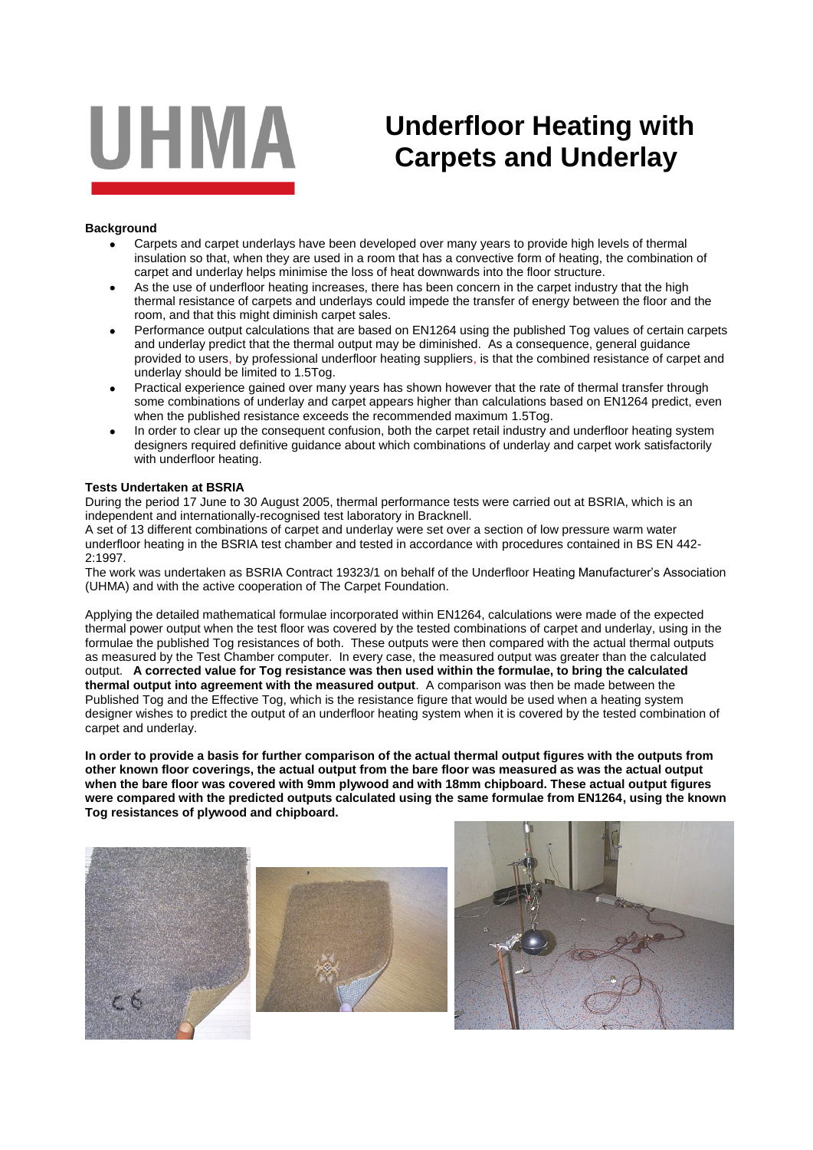

## **Underfloor Heating with Carpets and Underlay**

## **Background**

- Carpets and carpet underlays have been developed over many years to provide high levels of thermal insulation so that, when they are used in a room that has a convective form of heating, the combination of carpet and underlay helps minimise the loss of heat downwards into the floor structure.
- As the use of underfloor heating increases, there has been concern in the carpet industry that the high thermal resistance of carpets and underlays could impede the transfer of energy between the floor and the room, and that this might diminish carpet sales.
- Performance output calculations that are based on EN1264 using the published Tog values of certain carpets and underlay predict that the thermal output may be diminished. As a consequence, general guidance provided to users, by professional underfloor heating suppliers, is that the combined resistance of carpet and underlay should be limited to 1.5Tog.
- Practical experience gained over many years has shown however that the rate of thermal transfer through some combinations of underlay and carpet appears higher than calculations based on EN1264 predict, even when the published resistance exceeds the recommended maximum 1.5Tog.
- In order to clear up the consequent confusion, both the carpet retail industry and underfloor heating system designers required definitive guidance about which combinations of underlay and carpet work satisfactorily with underfloor heating.

## **Tests Undertaken at BSRIA**

During the period 17 June to 30 August 2005, thermal performance tests were carried out at BSRIA, which is an independent and internationally-recognised test laboratory in Bracknell.

A set of 13 different combinations of carpet and underlay were set over a section of low pressure warm water underfloor heating in the BSRIA test chamber and tested in accordance with procedures contained in BS EN 442- 2:1997.

The work was undertaken as BSRIA Contract 19323/1 on behalf of the Underfloor Heating Manufacturer's Association (UHMA) and with the active cooperation of The Carpet Foundation.

Applying the detailed mathematical formulae incorporated within EN1264, calculations were made of the expected thermal power output when the test floor was covered by the tested combinations of carpet and underlay, using in the formulae the published Tog resistances of both. These outputs were then compared with the actual thermal outputs as measured by the Test Chamber computer. In every case, the measured output was greater than the calculated output. **A corrected value for Tog resistance was then used within the formulae, to bring the calculated thermal output into agreement with the measured output**. A comparison was then be made between the Published Tog and the Effective Tog, which is the resistance figure that would be used when a heating system designer wishes to predict the output of an underfloor heating system when it is covered by the tested combination of carpet and underlay.

**In order to provide a basis for further comparison of the actual thermal output figures with the outputs from other known floor coverings, the actual output from the bare floor was measured as was the actual output when the bare floor was covered with 9mm plywood and with 18mm chipboard. These actual output figures were compared with the predicted outputs calculated using the same formulae from EN1264, using the known Tog resistances of plywood and chipboard.**